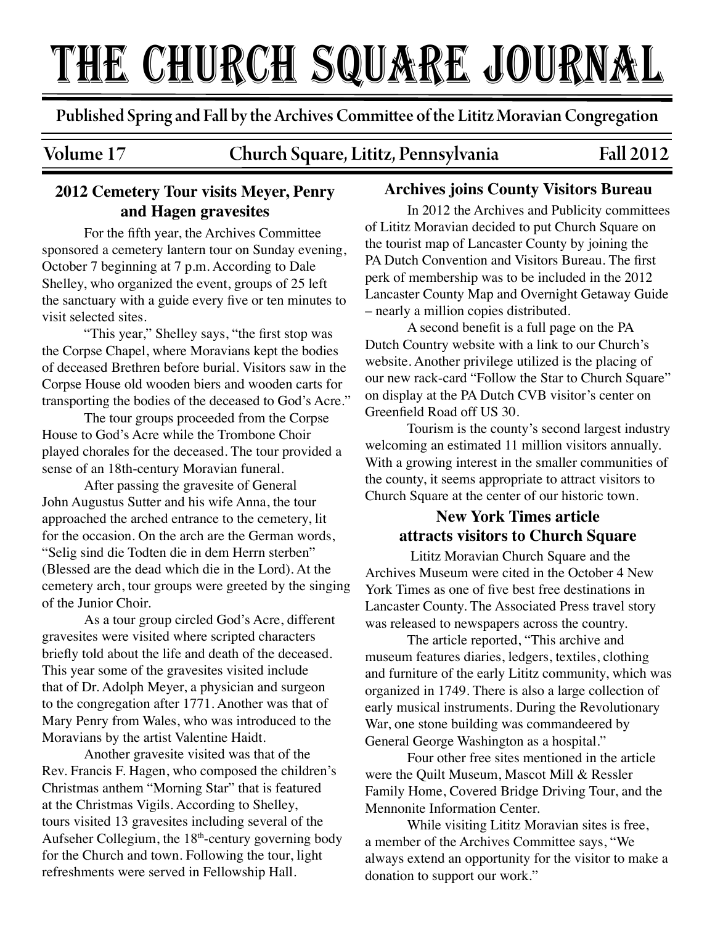# The church square Journal

Published Spring and Fall by the Archives Commi�ee of the Lititz Moravian Congregation

# Volume 17 Church Square, Lititz, Pennsylvania Fall 2012

# **2012 Cemetery Tour visits Meyer, Penry and Hagen gravesites**

For the fifth year, the Archives Committee sponsored a cemetery lantern tour on Sunday evening, October 7 beginning at 7 p.m. According to Dale Shelley, who organized the event, groups of 25 left the sanctuary with a guide every five or ten minutes to visit selected sites.

"This year," Shelley says, "the first stop was the Corpse Chapel, where Moravians kept the bodies of deceased Brethren before burial. Visitors saw in the Corpse House old wooden biers and wooden carts for transporting the bodies of the deceased to God's Acre."

The tour groups proceeded from the Corpse House to God's Acre while the Trombone Choir played chorales for the deceased. The tour provided a sense of an 18th-century Moravian funeral.

After passing the gravesite of General John Augustus Sutter and his wife Anna, the tour approached the arched entrance to the cemetery, lit for the occasion. On the arch are the German words, "Selig sind die Todten die in dem Herrn sterben" (Blessed are the dead which die in the Lord). At the cemetery arch, tour groups were greeted by the singing of the Junior Choir.

As a tour group circled God's Acre, different gravesites were visited where scripted characters briefly told about the life and death of the deceased. This year some of the gravesites visited include that of Dr. Adolph Meyer, a physician and surgeon to the congregation after 1771. Another was that of Mary Penry from Wales, who was introduced to the Moravians by the artist Valentine Haidt.

Another gravesite visited was that of the Rev. Francis F. Hagen, who composed the children's Christmas anthem "Morning Star" that is featured at the Christmas Vigils. According to Shelley, tours visited 13 gravesites including several of the Aufseher Collegium, the 18th-century governing body for the Church and town. Following the tour, light refreshments were served in Fellowship Hall.

### **Archives joins County Visitors Bureau**

 In 2012 the Archives and Publicity committees of Lititz Moravian decided to put Church Square on the tourist map of Lancaster County by joining the PA Dutch Convention and Visitors Bureau. The first perk of membership was to be included in the 2012 Lancaster County Map and Overnight Getaway Guide – nearly a million copies distributed.

 A second benefit is a full page on the PA Dutch Country website with a link to our Church's website. Another privilege utilized is the placing of our new rack-card "Follow the Star to Church Square" on display at the PA Dutch CVB visitor's center on Greenfield Road off US 30.

 Tourism is the county's second largest industry welcoming an estimated 11 million visitors annually. With a growing interest in the smaller communities of the county, it seems appropriate to attract visitors to Church Square at the center of our historic town.

# **New York Times article attracts visitors to Church Square**

 Lititz Moravian Church Square and the Archives Museum were cited in the October 4 New York Times as one of five best free destinations in Lancaster County. The Associated Press travel story was released to newspapers across the country.

 The article reported, "This archive and museum features diaries, ledgers, textiles, clothing and furniture of the early Lititz community, which was organized in 1749. There is also a large collection of early musical instruments. During the Revolutionary War, one stone building was commandeered by General George Washington as a hospital."

 Four other free sites mentioned in the article were the Quilt Museum, Mascot Mill & Ressler Family Home, Covered Bridge Driving Tour, and the Mennonite Information Center.

 While visiting Lititz Moravian sites is free, a member of the Archives Committee says, "We always extend an opportunity for the visitor to make a donation to support our work."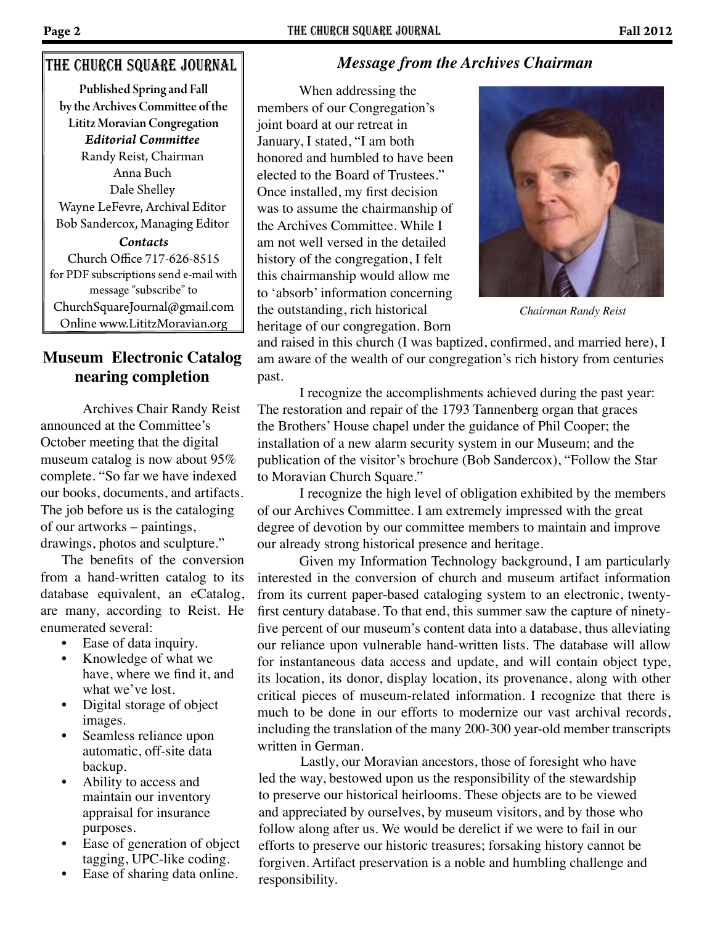## The church square Journal

Published Spring and Fall by the Archives Commi�ee of the Lititz Moravian Congregation *Contacts* Church Office 717-626-8515 for PDF subscriptions send e-mail with message "subscribe" to ChurchSquareJournal@gmail.com Online www.LititzMoravian.org *Editorial Commi�ee* Randy Reist, Chairman Anna Buch Dale Shelley Wayne LeFevre, Archival Editor Bob Sandercox, Managing Editor

## **Museum Electronic Catalog nearing completion**

Archives Chair Randy Reist announced at the Committee's October meeting that the digital museum catalog is now about 95% complete. "So far we have indexed our books, documents, and artifacts. The job before us is the cataloging of our artworks – paintings, drawings, photos and sculpture."

The benefits of the conversion from a hand-written catalog to its database equivalent, an eCatalog, are many, according to Reist. He enumerated several:

- Ease of data inquiry.
- Knowledge of what we have, where we find it, and what we've lost.
- Digital storage of object images.
- Seamless reliance upon automatic, off-site data backup.
- Ability to access and maintain our inventory appraisal for insurance purposes.
- Ease of generation of object tagging, UPC-like coding.
- Ease of sharing data online.

# *Message from the Archives Chairman*

When addressing the members of our Congregation's joint board at our retreat in January, I stated, "I am both honored and humbled to have been elected to the Board of Trustees." Once installed, my first decision was to assume the chairmanship of the Archives Committee. While I am not well versed in the detailed history of the congregation, I felt this chairmanship would allow me to 'absorb' information concerning the outstanding, rich historical heritage of our congregation. Born



*Chairman Randy Reist*

and raised in this church (I was baptized, confirmed, and married here), I am aware of the wealth of our congregation's rich history from centuries past.

 I recognize the accomplishments achieved during the past year: The restoration and repair of the 1793 Tannenberg organ that graces the Brothers' House chapel under the guidance of Phil Cooper; the installation of a new alarm security system in our Museum; and the publication of the visitor's brochure (Bob Sandercox), "Follow the Star to Moravian Church Square."

I recognize the high level of obligation exhibited by the members of our Archives Committee. I am extremely impressed with the great degree of devotion by our committee members to maintain and improve our already strong historical presence and heritage.

Given my Information Technology background, I am particularly interested in the conversion of church and museum artifact information from its current paper-based cataloging system to an electronic, twentyfirst century database. To that end, this summer saw the capture of ninetyfive percent of our museum's content data into a database, thus alleviating our reliance upon vulnerable hand-written lists. The database will allow for instantaneous data access and update, and will contain object type, its location, its donor, display location, its provenance, along with other critical pieces of museum-related information. I recognize that there is much to be done in our efforts to modernize our vast archival records, including the translation of the many 200-300 year-old member transcripts written in German.

Lastly, our Moravian ancestors, those of foresight who have led the way, bestowed upon us the responsibility of the stewardship to preserve our historical heirlooms. These objects are to be viewed and appreciated by ourselves, by museum visitors, and by those who follow along after us. We would be derelict if we were to fail in our efforts to preserve our historic treasures; forsaking history cannot be forgiven. Artifact preservation is a noble and humbling challenge and responsibility.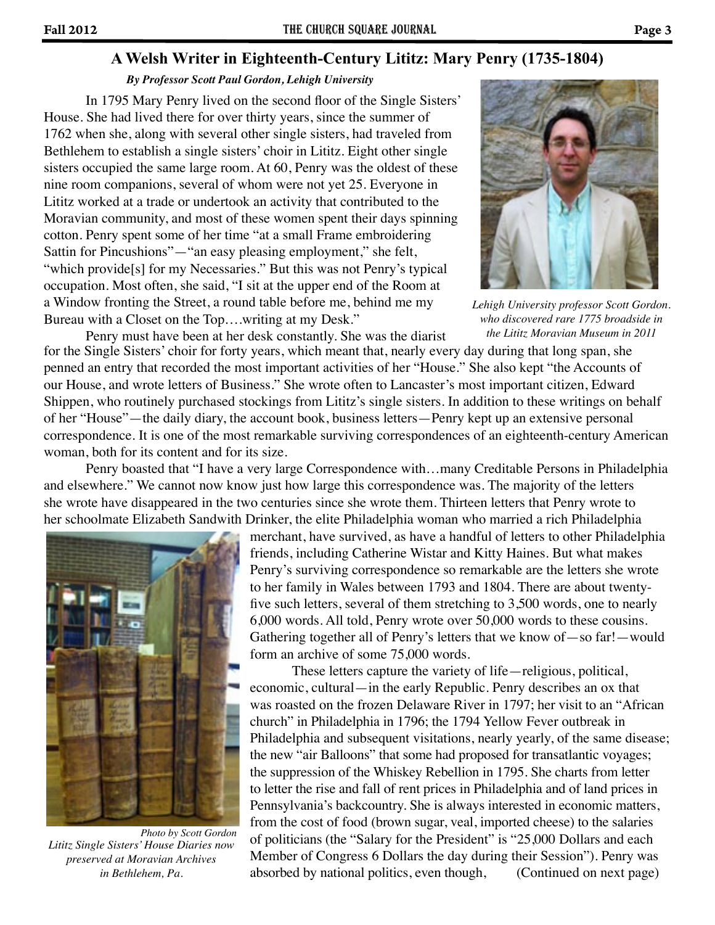#### *By Professor Scott Paul Gordon, Lehigh University*

In 1795 Mary Penry lived on the second floor of the Single Sisters' House. She had lived there for over thirty years, since the summer of 1762 when she, along with several other single sisters, had traveled from Bethlehem to establish a single sisters' choir in Lititz. Eight other single sisters occupied the same large room. At 60, Penry was the oldest of these nine room companions, several of whom were not yet 25. Everyone in Lititz worked at a trade or undertook an activity that contributed to the Moravian community, and most of these women spent their days spinning cotton. Penry spent some of her time "at a small Frame embroidering Sattin for Pincushions"—"an easy pleasing employment," she felt, "which provide<sup>[s]</sup> for my Necessaries." But this was not Penry's typical occupation. Most often, she said, "I sit at the upper end of the Room at a Window fronting the Street, a round table before me, behind me my Bureau with a Closet on the Top….writing at my Desk."



*Lehigh University professor Scott Gordon. who discovered rare 1775 broadside in the Lititz Moravian Museum in 2011*

Penry must have been at her desk constantly. She was the diarist for the Single Sisters' choir for forty years, which meant that, nearly every day during that long span, she penned an entry that recorded the most important activities of her "House." She also kept "the Accounts of our House, and wrote letters of Business." She wrote often to Lancaster's most important citizen, Edward Shippen, who routinely purchased stockings from Lititz's single sisters. In addition to these writings on behalf of her "House"—the daily diary, the account book, business letters—Penry kept up an extensive personal correspondence. It is one of the most remarkable surviving correspondences of an eighteenth-century American woman, both for its content and for its size.

Penry boasted that "I have a very large Correspondence with…many Creditable Persons in Philadelphia and elsewhere." We cannot now know just how large this correspondence was. The majority of the letters she wrote have disappeared in the two centuries since she wrote them. Thirteen letters that Penry wrote to her schoolmate Elizabeth Sandwith Drinker, the elite Philadelphia woman who married a rich Philadelphia



*Lititz Single Sisters' House Diaries now preserved at Moravian Archives in Bethlehem, Pa. Photo by Scott Gordon*

merchant, have survived, as have a handful of letters to other Philadelphia friends, including Catherine Wistar and Kitty Haines. But what makes Penry's surviving correspondence so remarkable are the letters she wrote to her family in Wales between 1793 and 1804. There are about twentyfive such letters, several of them stretching to 3,500 words, one to nearly 6,000 words. All told, Penry wrote over 50,000 words to these cousins. Gathering together all of Penry's letters that we know of—so far!—would form an archive of some 75,000 words.

These letters capture the variety of life—religious, political, economic, cultural—in the early Republic. Penry describes an ox that was roasted on the frozen Delaware River in 1797; her visit to an "African church" in Philadelphia in 1796; the 1794 Yellow Fever outbreak in Philadelphia and subsequent visitations, nearly yearly, of the same disease; the new "air Balloons" that some had proposed for transatlantic voyages; the suppression of the Whiskey Rebellion in 1795. She charts from letter to letter the rise and fall of rent prices in Philadelphia and of land prices in Pennsylvania's backcountry. She is always interested in economic matters, from the cost of food (brown sugar, veal, imported cheese) to the salaries of politicians (the "Salary for the President" is "25,000 Dollars and each Member of Congress 6 Dollars the day during their Session"). Penry was absorbed by national politics, even though, (Continued on next page)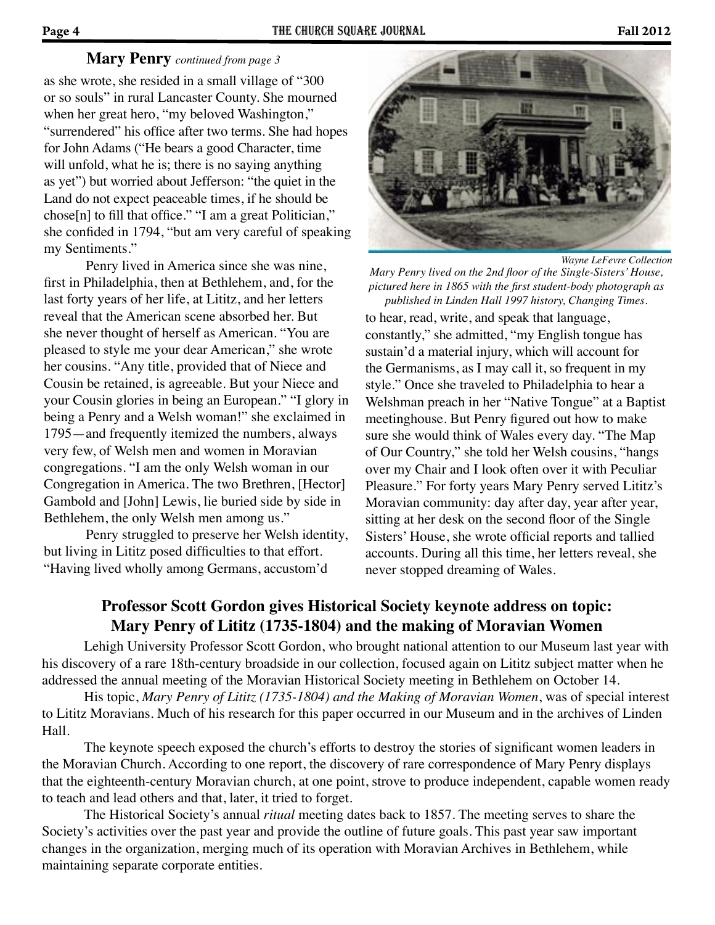#### **Mary Penry** *continued from page 3*

as she wrote, she resided in a small village of "300 or so souls" in rural Lancaster County. She mourned when her great hero, "my beloved Washington," "surrendered" his office after two terms. She had hopes for John Adams ("He bears a good Character, time will unfold, what he is; there is no saying anything as yet") but worried about Jefferson: "the quiet in the Land do not expect peaceable times, if he should be chose[n] to fill that office." "I am a great Politician," she confided in 1794, "but am very careful of speaking my Sentiments."

 Penry lived in America since she was nine, first in Philadelphia, then at Bethlehem, and, for the last forty years of her life, at Lititz, and her letters reveal that the American scene absorbed her. But she never thought of herself as American. "You are pleased to style me your dear American," she wrote her cousins. "Any title, provided that of Niece and Cousin be retained, is agreeable. But your Niece and your Cousin glories in being an European." "I glory in being a Penry and a Welsh woman!" she exclaimed in 1795—and frequently itemized the numbers, always very few, of Welsh men and women in Moravian congregations. "I am the only Welsh woman in our Congregation in America. The two Brethren, [Hector] Gambold and [John] Lewis, lie buried side by side in Bethlehem, the only Welsh men among us."

 Penry struggled to preserve her Welsh identity, but living in Lititz posed difficulties to that effort. "Having lived wholly among Germans, accustom'd



*Mary Penry lived on the 2nd floor of the Single-Sisters' House, pictured here in 1865 with the first student-body photograph as published in Linden Hall 1997 history, Changing Times.* to hear, read, write, and speak that language, constantly," she admitted, "my English tongue has sustain'd a material injury, which will account for the Germanisms, as I may call it, so frequent in my style." Once she traveled to Philadelphia to hear a Welshman preach in her "Native Tongue" at a Baptist meetinghouse. But Penry figured out how to make sure she would think of Wales every day. "The Map of Our Country," she told her Welsh cousins, "hangs over my Chair and I look often over it with Peculiar Pleasure." For forty years Mary Penry served Lititz's Moravian community: day after day, year after year, sitting at her desk on the second floor of the Single Sisters' House, she wrote official reports and tallied accounts. During all this time, her letters reveal, she never stopped dreaming of Wales.

# **Professor Scott Gordon gives Historical Society keynote address on topic: Mary Penry of Lititz (1735-1804) and the making of Moravian Women**

Lehigh University Professor Scott Gordon, who brought national attention to our Museum last year with his discovery of a rare 18th-century broadside in our collection, focused again on Lititz subject matter when he addressed the annual meeting of the Moravian Historical Society meeting in Bethlehem on October 14.

His topic, *Mary Penry of Lititz (1735-1804) and the Making of Moravian Women*, was of special interest to Lititz Moravians. Much of his research for this paper occurred in our Museum and in the archives of Linden Hall.

The keynote speech exposed the church's efforts to destroy the stories of significant women leaders in the Moravian Church. According to one report, the discovery of rare correspondence of Mary Penry displays that the eighteenth-century Moravian church, at one point, strove to produce independent, capable women ready to teach and lead others and that, later, it tried to forget.

The Historical Society's annual *ritual* meeting dates back to 1857. The meeting serves to share the Society's activities over the past year and provide the outline of future goals. This past year saw important changes in the organization, merging much of its operation with Moravian Archives in Bethlehem, while maintaining separate corporate entities.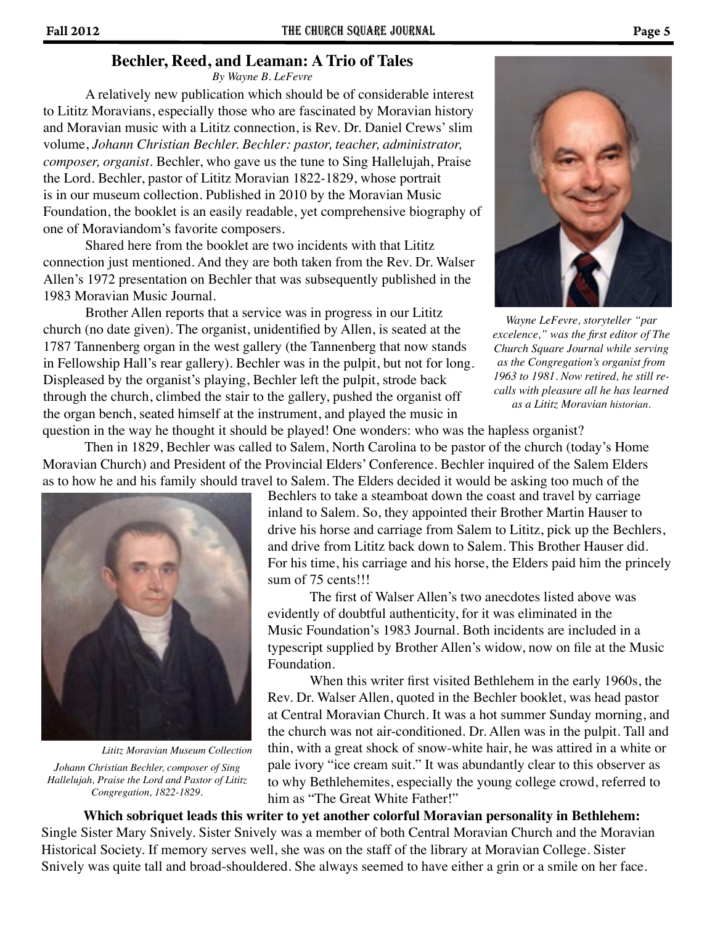#### **Bechler, Reed, and Leaman: A Trio of Tales**

*By Wayne B. LeFevre*

A relatively new publication which should be of considerable interest to Lititz Moravians, especially those who are fascinated by Moravian history and Moravian music with a Lititz connection, is Rev. Dr. Daniel Crews' slim volume, *Johann Christian Bechler. Bechler: pastor, teacher, administrator, composer, organist*. Bechler, who gave us the tune to Sing Hallelujah, Praise the Lord. Bechler, pastor of Lititz Moravian 1822-1829, whose portrait is in our museum collection. Published in 2010 by the Moravian Music Foundation, the booklet is an easily readable, yet comprehensive biography of one of Moraviandom's favorite composers.

 Shared here from the booklet are two incidents with that Lititz connection just mentioned. And they are both taken from the Rev. Dr. Walser Allen's 1972 presentation on Bechler that was subsequently published in the 1983 Moravian Music Journal.

 Brother Allen reports that a service was in progress in our Lititz church (no date given). The organist, unidentified by Allen, is seated at the 1787 Tannenberg organ in the west gallery (the Tannenberg that now stands in Fellowship Hall's rear gallery). Bechler was in the pulpit, but not for long. Displeased by the organist's playing, Bechler left the pulpit, strode back through the church, climbed the stair to the gallery, pushed the organist off the organ bench, seated himself at the instrument, and played the music in question in the way he thought it should be played! One wonders: who was the hapless organist?



*Wayne LeFevre, storyteller "par excelence," was the first editor of The Church Square Journal while serving as the Congregation's organist from 1963 to 1981. Now retired, he still recalls with pleasure all he has learned as a Lititz Moravian historian.*

 Then in 1829, Bechler was called to Salem, North Carolina to be pastor of the church (today's Home Moravian Church) and President of the Provincial Elders' Conference. Bechler inquired of the Salem Elders as to how he and his family should travel to Salem. The Elders decided it would be asking too much of the



*Johann Christian Bechler, composer of Sing Hallelujah, Praise the Lord and Pastor of Lititz Congregation, 1822-1829. Lititz Moravian Museum Collection*

Bechlers to take a steamboat down the coast and travel by carriage inland to Salem. So, they appointed their Brother Martin Hauser to drive his horse and carriage from Salem to Lititz, pick up the Bechlers, and drive from Lititz back down to Salem. This Brother Hauser did. For his time, his carriage and his horse, the Elders paid him the princely sum of 75 cents!!!

 The first of Walser Allen's two anecdotes listed above was evidently of doubtful authenticity, for it was eliminated in the Music Foundation's 1983 Journal. Both incidents are included in a typescript supplied by Brother Allen's widow, now on file at the Music Foundation.

 When this writer first visited Bethlehem in the early 1960s, the Rev. Dr. Walser Allen, quoted in the Bechler booklet, was head pastor at Central Moravian Church. It was a hot summer Sunday morning, and the church was not air-conditioned. Dr. Allen was in the pulpit. Tall and thin, with a great shock of snow-white hair, he was attired in a white or pale ivory "ice cream suit." It was abundantly clear to this observer as to why Bethlehemites, especially the young college crowd, referred to him as "The Great White Father!"

**Which sobriquet leads this writer to yet another colorful Moravian personality in Bethlehem:**  Single Sister Mary Snively. Sister Snively was a member of both Central Moravian Church and the Moravian Historical Society. If memory serves well, she was on the staff of the library at Moravian College. Sister Snively was quite tall and broad-shouldered. She always seemed to have either a grin or a smile on her face.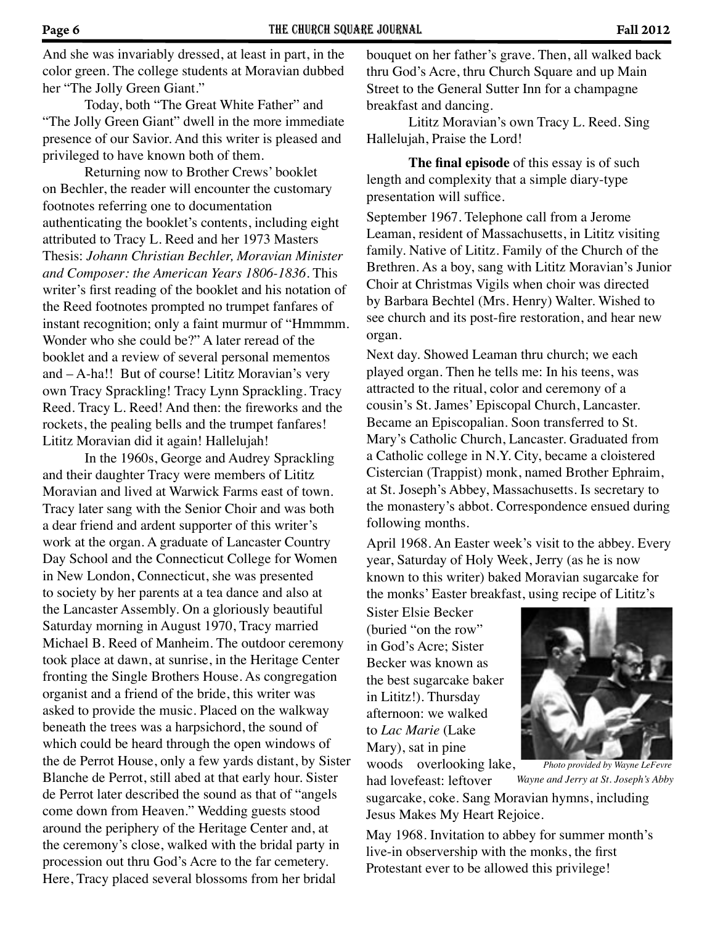And she was invariably dressed, at least in part, in the color green. The college students at Moravian dubbed her "The Jolly Green Giant."

 Today, both "The Great White Father" and "The Jolly Green Giant" dwell in the more immediate presence of our Savior. And this writer is pleased and privileged to have known both of them.

 Returning now to Brother Crews' booklet on Bechler, the reader will encounter the customary footnotes referring one to documentation authenticating the booklet's contents, including eight attributed to Tracy L. Reed and her 1973 Masters Thesis: *Johann Christian Bechler, Moravian Minister and Composer: the American Years 1806-1836*. This writer's first reading of the booklet and his notation of the Reed footnotes prompted no trumpet fanfares of instant recognition; only a faint murmur of "Hmmmm. Wonder who she could be?" A later reread of the booklet and a review of several personal mementos and – A-ha!! But of course! Lititz Moravian's very own Tracy Sprackling! Tracy Lynn Sprackling. Tracy Reed. Tracy L. Reed! And then: the fireworks and the rockets, the pealing bells and the trumpet fanfares! Lititz Moravian did it again! Hallelujah!

 In the 1960s, George and Audrey Sprackling and their daughter Tracy were members of Lititz Moravian and lived at Warwick Farms east of town. Tracy later sang with the Senior Choir and was both a dear friend and ardent supporter of this writer's work at the organ. A graduate of Lancaster Country Day School and the Connecticut College for Women in New London, Connecticut, she was presented to society by her parents at a tea dance and also at the Lancaster Assembly. On a gloriously beautiful Saturday morning in August 1970, Tracy married Michael B. Reed of Manheim. The outdoor ceremony took place at dawn, at sunrise, in the Heritage Center fronting the Single Brothers House. As congregation organist and a friend of the bride, this writer was asked to provide the music. Placed on the walkway beneath the trees was a harpsichord, the sound of which could be heard through the open windows of the de Perrot House, only a few yards distant, by Sister Blanche de Perrot, still abed at that early hour. Sister de Perrot later described the sound as that of "angels come down from Heaven." Wedding guests stood around the periphery of the Heritage Center and, at the ceremony's close, walked with the bridal party in procession out thru God's Acre to the far cemetery. Here, Tracy placed several blossoms from her bridal

bouquet on her father's grave. Then, all walked back thru God's Acre, thru Church Square and up Main Street to the General Sutter Inn for a champagne breakfast and dancing.

 Lititz Moravian's own Tracy L. Reed. Sing Hallelujah, Praise the Lord!

**The final episode** of this essay is of such length and complexity that a simple diary-type presentation will suffice.

September 1967. Telephone call from a Jerome Leaman, resident of Massachusetts, in Lititz visiting family. Native of Lititz. Family of the Church of the Brethren. As a boy, sang with Lititz Moravian's Junior Choir at Christmas Vigils when choir was directed by Barbara Bechtel (Mrs. Henry) Walter. Wished to see church and its post-fire restoration, and hear new organ.

Next day. Showed Leaman thru church; we each played organ. Then he tells me: In his teens, was attracted to the ritual, color and ceremony of a cousin's St. James' Episcopal Church, Lancaster. Became an Episcopalian. Soon transferred to St. Mary's Catholic Church, Lancaster. Graduated from a Catholic college in N.Y. City, became a cloistered Cistercian (Trappist) monk, named Brother Ephraim, at St. Joseph's Abbey, Massachusetts. Is secretary to the monastery's abbot. Correspondence ensued during following months.

April 1968. An Easter week's visit to the abbey. Every year, Saturday of Holy Week, Jerry (as he is now known to this writer) baked Moravian sugarcake for the monks' Easter breakfast, using recipe of Lititz's

Sister Elsie Becker (buried "on the row" in God's Acre; Sister Becker was known as the best sugarcake baker in Lititz!). Thursday afternoon: we walked to *Lac Marie* (Lake Mary), sat in pine woods overlooking lake,

*Wayne and Jerry at St. Joseph's Abby Photo provided by Wayne LeFevre*

had lovefeast: leftover sugarcake, coke. Sang Moravian hymns, including Jesus Makes My Heart Rejoice.

May 1968. Invitation to abbey for summer month's live-in observership with the monks, the first Protestant ever to be allowed this privilege!

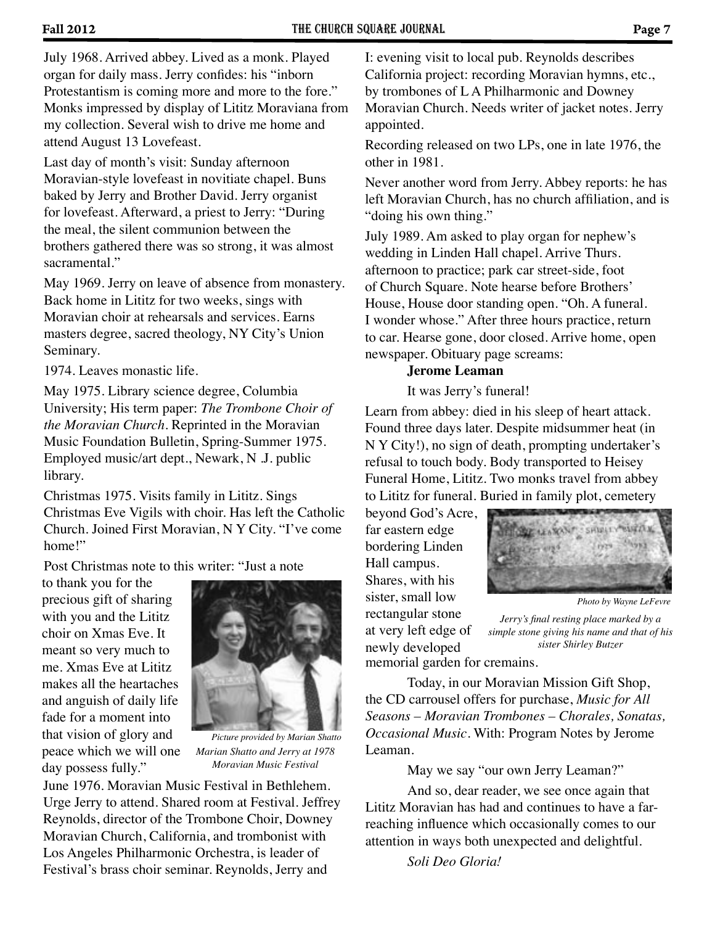July 1968. Arrived abbey. Lived as a monk. Played organ for daily mass. Jerry confides: his "inborn Protestantism is coming more and more to the fore." Monks impressed by display of Lititz Moraviana from my collection. Several wish to drive me home and attend August 13 Lovefeast.

Last day of month's visit: Sunday afternoon Moravian-style lovefeast in novitiate chapel. Buns baked by Jerry and Brother David. Jerry organist for lovefeast. Afterward, a priest to Jerry: "During the meal, the silent communion between the brothers gathered there was so strong, it was almost sacramental."

May 1969. Jerry on leave of absence from monastery. Back home in Lititz for two weeks, sings with Moravian choir at rehearsals and services. Earns masters degree, sacred theology, NY City's Union Seminary.

1974. Leaves monastic life.

May 1975. Library science degree, Columbia University; His term paper: *The Trombone Choir of the Moravian Church*. Reprinted in the Moravian Music Foundation Bulletin, Spring-Summer 1975. Employed music/art dept., Newark, N .J. public library.

Christmas 1975. Visits family in Lititz. Sings Christmas Eve Vigils with choir. Has left the Catholic Church. Joined First Moravian, N Y City. "I've come home!"

Post Christmas note to this writer: "Just a note

to thank you for the precious gift of sharing with you and the Lititz choir on Xmas Eve. It meant so very much to me. Xmas Eve at Lititz makes all the heartaches and anguish of daily life fade for a moment into that vision of glory and peace which we will one day possess fully."



*Marian Shatto and Jerry at 1978 Moravian Music Festival Picture provided by Marian Shatto*

June 1976. Moravian Music Festival in Bethlehem. Urge Jerry to attend. Shared room at Festival. Jeffrey Reynolds, director of the Trombone Choir, Downey Moravian Church, California, and trombonist with Los Angeles Philharmonic Orchestra, is leader of Festival's brass choir seminar. Reynolds, Jerry and

I: evening visit to local pub. Reynolds describes California project: recording Moravian hymns, etc., by trombones of L A Philharmonic and Downey Moravian Church. Needs writer of jacket notes. Jerry appointed.

Recording released on two LPs, one in late 1976, the other in 1981.

Never another word from Jerry. Abbey reports: he has left Moravian Church, has no church affiliation, and is "doing his own thing."

July 1989. Am asked to play organ for nephew's wedding in Linden Hall chapel. Arrive Thurs. afternoon to practice; park car street-side, foot of Church Square. Note hearse before Brothers' House, House door standing open. "Oh. A funeral. I wonder whose." After three hours practice, return to car. Hearse gone, door closed. Arrive home, open newspaper. Obituary page screams:

#### **Jerome Leaman**

It was Jerry's funeral!

Learn from abbey: died in his sleep of heart attack. Found three days later. Despite midsummer heat (in N Y City!), no sign of death, prompting undertaker's refusal to touch body. Body transported to Heisey Funeral Home, Lititz. Two monks travel from abbey to Lititz for funeral. Buried in family plot, cemetery

beyond God's Acre, far eastern edge bordering Linden Hall campus. Shares, with his sister, small low rectangular stone at very left edge of newly developed



*Photo by Wayne LeFevre*

*Jerry's final resting place marked by a simple stone giving his name and that of his sister Shirley Butzer*

memorial garden for cremains.

Today, in our Moravian Mission Gift Shop, the CD carrousel offers for purchase, *Music for All Seasons – Moravian Trombones – Chorales, Sonatas, Occasional Music*. With: Program Notes by Jerome Leaman.

May we say "our own Jerry Leaman?"

And so, dear reader, we see once again that Lititz Moravian has had and continues to have a farreaching influence which occasionally comes to our attention in ways both unexpected and delightful.

*Soli Deo Gloria!*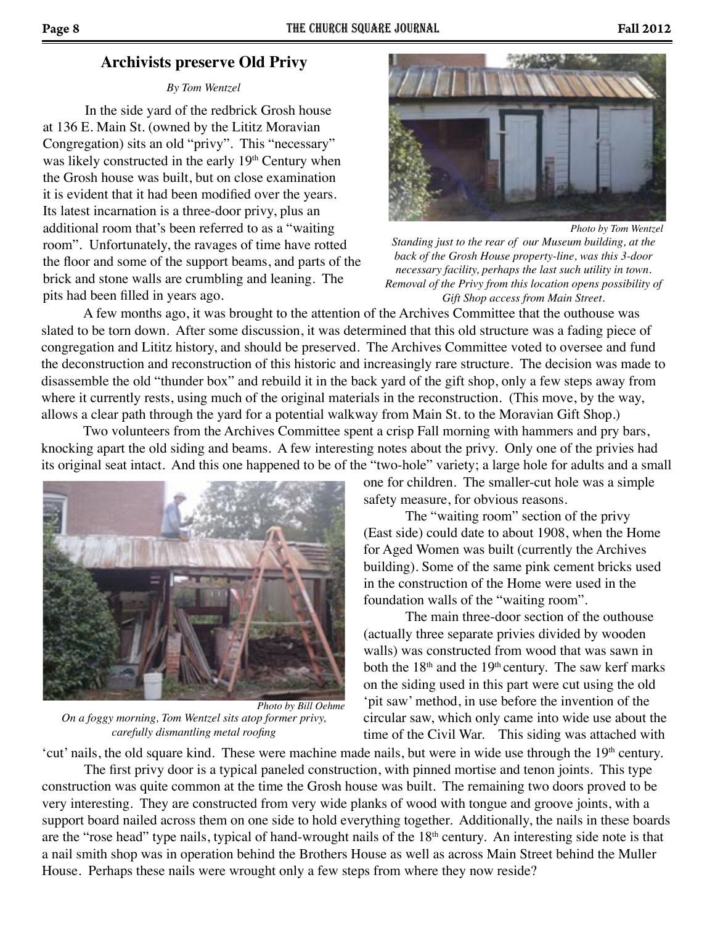## **Archivists preserve Old Privy**

#### *By Tom Wentzel*

In the side yard of the redbrick Grosh house at 136 E. Main St. (owned by the Lititz Moravian Congregation) sits an old "privy". This "necessary" was likely constructed in the early 19<sup>th</sup> Century when the Grosh house was built, but on close examination it is evident that it had been modified over the years. Its latest incarnation is a three-door privy, plus an additional room that's been referred to as a "waiting room". Unfortunately, the ravages of time have rotted the floor and some of the support beams, and parts of the brick and stone walls are crumbling and leaning. The pits had been filled in years ago.



*Photo by Tom Wentzel*

*Standing just to the rear of our Museum building, at the back of the Grosh House property-line, was this 3-door necessary facility, perhaps the last such utility in town. Removal of the Privy from this location opens possibility of Gift Shop access from Main Street.*

A few months ago, it was brought to the attention of the Archives Committee that the outhouse was slated to be torn down. After some discussion, it was determined that this old structure was a fading piece of congregation and Lititz history, and should be preserved. The Archives Committee voted to oversee and fund the deconstruction and reconstruction of this historic and increasingly rare structure. The decision was made to disassemble the old "thunder box" and rebuild it in the back yard of the gift shop, only a few steps away from where it currently rests, using much of the original materials in the reconstruction. (This move, by the way, allows a clear path through the yard for a potential walkway from Main St. to the Moravian Gift Shop.)

Two volunteers from the Archives Committee spent a crisp Fall morning with hammers and pry bars, knocking apart the old siding and beams. A few interesting notes about the privy. Only one of the privies had its original seat intact. And this one happened to be of the "two-hole" variety; a large hole for adults and a small



*On a foggy morning, Tom Wentzel sits atop former privy, carefully dismantling metal roofing Photo by Bill Oehme*

one for children. The smaller-cut hole was a simple safety measure, for obvious reasons.

The "waiting room" section of the privy (East side) could date to about 1908, when the Home for Aged Women was built (currently the Archives building). Some of the same pink cement bricks used in the construction of the Home were used in the foundation walls of the "waiting room".

The main three-door section of the outhouse (actually three separate privies divided by wooden walls) was constructed from wood that was sawn in both the  $18<sup>th</sup>$  and the  $19<sup>th</sup>$  century. The saw kerf marks on the siding used in this part were cut using the old 'pit saw' method, in use before the invention of the circular saw, which only came into wide use about the time of the Civil War. This siding was attached with

'cut' nails, the old square kind. These were machine made nails, but were in wide use through the 19<sup>th</sup> century. The first privy door is a typical paneled construction, with pinned mortise and tenon joints. This type construction was quite common at the time the Grosh house was built. The remaining two doors proved to be very interesting. They are constructed from very wide planks of wood with tongue and groove joints, with a support board nailed across them on one side to hold everything together. Additionally, the nails in these boards are the "rose head" type nails, typical of hand-wrought nails of the 18<sup>th</sup> century. An interesting side note is that a nail smith shop was in operation behind the Brothers House as well as across Main Street behind the Muller House. Perhaps these nails were wrought only a few steps from where they now reside?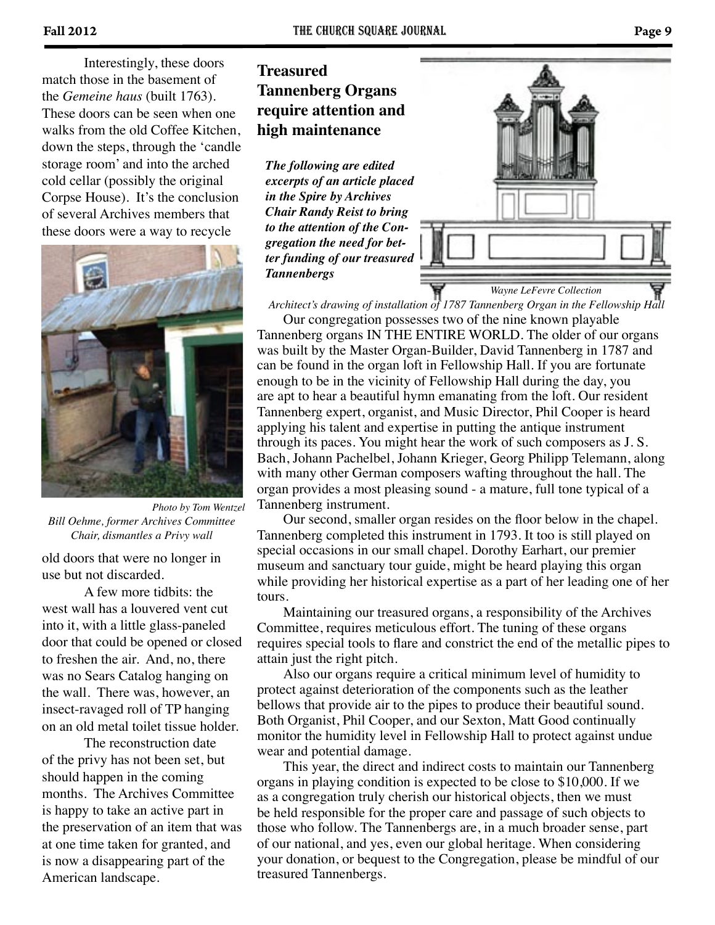Interestingly, these doors match those in the basement of the *Gemeine haus* (built 1763). These doors can be seen when one walks from the old Coffee Kitchen, down the steps, through the 'candle storage room' and into the arched cold cellar (possibly the original Corpse House). It's the conclusion of several Archives members that these doors were a way to recycle



*Bill Oehme, former Archives Committee Chair, dismantles a Privy wall Photo by Tom Wentzel*

old doors that were no longer in use but not discarded.

A few more tidbits: the west wall has a louvered vent cut into it, with a little glass-paneled door that could be opened or closed to freshen the air. And, no, there was no Sears Catalog hanging on the wall. There was, however, an insect-ravaged roll of TP hanging on an old metal toilet tissue holder.

The reconstruction date of the privy has not been set, but should happen in the coming months. The Archives Committee is happy to take an active part in the preservation of an item that was at one time taken for granted, and is now a disappearing part of the American landscape.

# **Treasured Tannenberg Organs require attention and high maintenance**

*The following are edited excerpts of an article placed in the Spire by Archives Chair Randy Reist to bring to the attention of the Congregation the need for better funding of our treasured Tannenbergs*



*Architect's drawing of installation of 1787 Tannenberg Organ in the Fellowship Hall*

 Our congregation possesses two of the nine known playable Tannenberg organs IN THE ENTIRE WORLD. The older of our organs was built by the Master Organ-Builder, David Tannenberg in 1787 and can be found in the organ loft in Fellowship Hall. If you are fortunate enough to be in the vicinity of Fellowship Hall during the day, you are apt to hear a beautiful hymn emanating from the loft. Our resident Tannenberg expert, organist, and Music Director, Phil Cooper is heard applying his talent and expertise in putting the antique instrument through its paces. You might hear the work of such composers as J. S. Bach, Johann Pachelbel, Johann Krieger, Georg Philipp Telemann, along with many other German composers wafting throughout the hall. The organ provides a most pleasing sound - a mature, full tone typical of a Tannenberg instrument.

 Our second, smaller organ resides on the floor below in the chapel. Tannenberg completed this instrument in 1793. It too is still played on special occasions in our small chapel. Dorothy Earhart, our premier museum and sanctuary tour guide, might be heard playing this organ while providing her historical expertise as a part of her leading one of her tours.

 Maintaining our treasured organs, a responsibility of the Archives Committee, requires meticulous effort. The tuning of these organs requires special tools to flare and constrict the end of the metallic pipes to attain just the right pitch.

 Also our organs require a critical minimum level of humidity to protect against deterioration of the components such as the leather bellows that provide air to the pipes to produce their beautiful sound. Both Organist, Phil Cooper, and our Sexton, Matt Good continually monitor the humidity level in Fellowship Hall to protect against undue wear and potential damage.

 This year, the direct and indirect costs to maintain our Tannenberg organs in playing condition is expected to be close to \$10,000. If we as a congregation truly cherish our historical objects, then we must be held responsible for the proper care and passage of such objects to those who follow. The Tannenbergs are, in a much broader sense, part of our national, and yes, even our global heritage. When considering your donation, or bequest to the Congregation, please be mindful of our treasured Tannenbergs.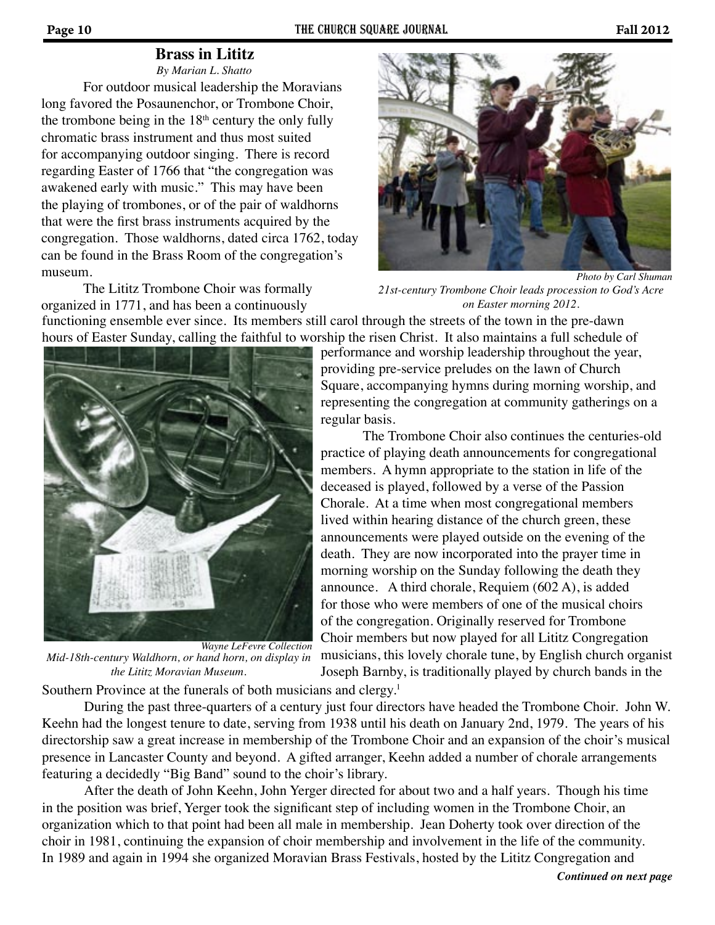# **Brass in Lititz**

For outdoor musical leadership the Moravians long favored the Posaunenchor, or Trombone Choir, the trombone being in the  $18<sup>th</sup>$  century the only fully chromatic brass instrument and thus most suited for accompanying outdoor singing. There is record regarding Easter of 1766 that "the congregation was awakened early with music." This may have been the playing of trombones, or of the pair of waldhorns that were the first brass instruments acquired by the congregation. Those waldhorns, dated circa 1762, today can be found in the Brass Room of the congregation's museum. *By Marian L. Shatto*

The Lititz Trombone Choir was formally organized in 1771, and has been a continuously



*Photo by Carl Shuman*

*21st-century Trombone Choir leads procession to God's Acre on Easter morning 2012.*

functioning ensemble ever since. Its members still carol through the streets of the town in the pre-dawn hours of Easter Sunday, calling the faithful to worship the risen Christ. It also maintains a full schedule of



*Mid-18th-century Waldhorn, or hand horn, on display in the Lititz Moravian Museum. Wayne LeFevre Collection*

performance and worship leadership throughout the year, providing pre-service preludes on the lawn of Church Square, accompanying hymns during morning worship, and representing the congregation at community gatherings on a regular basis.

Southern Province at the funerals of both musicians and clergy.<sup>1</sup> The Trombone Choir also continues the centuries-old practice of playing death announcements for congregational members. A hymn appropriate to the station in life of the deceased is played, followed by a verse of the Passion Chorale. At a time when most congregational members lived within hearing distance of the church green, these announcements were played outside on the evening of the death. They are now incorporated into the prayer time in morning worship on the Sunday following the death they announce. A third chorale, Requiem (602 A), is added for those who were members of one of the musical choirs of the congregation. Originally reserved for Trombone Choir members but now played for all Lititz Congregation musicians, this lovely chorale tune, by English church organist Joseph Barnby, is traditionally played by church bands in the

During the past three-quarters of a century just four directors have headed the Trombone Choir. John W. Keehn had the longest tenure to date, serving from 1938 until his death on January 2nd, 1979. The years of his directorship saw a great increase in membership of the Trombone Choir and an expansion of the choir's musical presence in Lancaster County and beyond. A gifted arranger, Keehn added a number of chorale arrangements featuring a decidedly "Big Band" sound to the choir's library.

After the death of John Keehn, John Yerger directed for about two and a half years. Though his time in the position was brief, Yerger took the significant step of including women in the Trombone Choir, an organization which to that point had been all male in membership. Jean Doherty took over direction of the choir in 1981, continuing the expansion of choir membership and involvement in the life of the community. In 1989 and again in 1994 she organized Moravian Brass Festivals, hosted by the Lititz Congregation and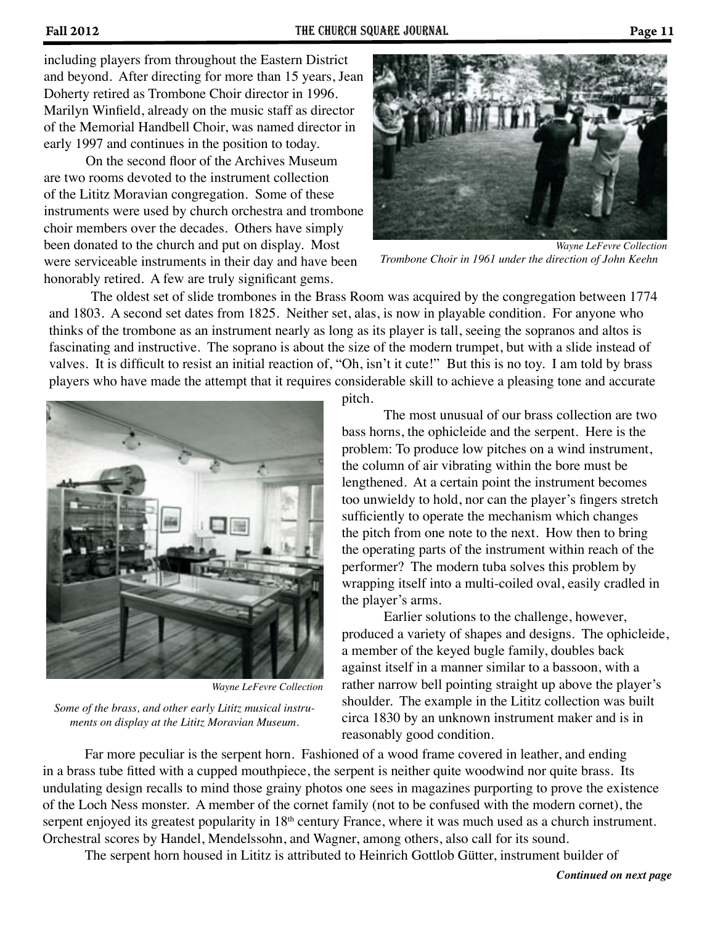including players from throughout the Eastern District and beyond. After directing for more than 15 years, Jean Doherty retired as Trombone Choir director in 1996. Marilyn Winfield, already on the music staff as director of the Memorial Handbell Choir, was named director in early 1997 and continues in the position to today.

On the second floor of the Archives Museum are two rooms devoted to the instrument collection of the Lititz Moravian congregation. Some of these instruments were used by church orchestra and trombone choir members over the decades. Others have simply been donated to the church and put on display. Most were serviceable instruments in their day and have been honorably retired. A few are truly significant gems.



*Trombone Choir in 1961 under the direction of John Keehn Wayne LeFevre Collection*

The oldest set of slide trombones in the Brass Room was acquired by the congregation between 1774 and 1803. A second set dates from 1825. Neither set, alas, is now in playable condition. For anyone who thinks of the trombone as an instrument nearly as long as its player is tall, seeing the sopranos and altos is fascinating and instructive. The soprano is about the size of the modern trumpet, but with a slide instead of valves. It is difficult to resist an initial reaction of, "Oh, isn't it cute!" But this is no toy. I am told by brass players who have made the attempt that it requires considerable skill to achieve a pleasing tone and accurate



*Wayne LeFevre Collection*

*Some of the brass, and other early Lititz musical instruments on display at the Lititz Moravian Museum.*

pitch.

The most unusual of our brass collection are two bass horns, the ophicleide and the serpent. Here is the problem: To produce low pitches on a wind instrument, the column of air vibrating within the bore must be lengthened. At a certain point the instrument becomes too unwieldy to hold, nor can the player's fingers stretch sufficiently to operate the mechanism which changes the pitch from one note to the next. How then to bring the operating parts of the instrument within reach of the performer? The modern tuba solves this problem by wrapping itself into a multi-coiled oval, easily cradled in the player's arms.

Earlier solutions to the challenge, however, produced a variety of shapes and designs. The ophicleide, a member of the keyed bugle family, doubles back against itself in a manner similar to a bassoon, with a rather narrow bell pointing straight up above the player's shoulder. The example in the Lititz collection was built circa 1830 by an unknown instrument maker and is in reasonably good condition.

Far more peculiar is the serpent horn. Fashioned of a wood frame covered in leather, and ending in a brass tube fitted with a cupped mouthpiece, the serpent is neither quite woodwind nor quite brass. Its undulating design recalls to mind those grainy photos one sees in magazines purporting to prove the existence of the Loch Ness monster. A member of the cornet family (not to be confused with the modern cornet), the serpent enjoyed its greatest popularity in 18<sup>th</sup> century France, where it was much used as a church instrument. Orchestral scores by Handel, Mendelssohn, and Wagner, among others, also call for its sound.

The serpent horn housed in Lititz is attributed to Heinrich Gottlob Gütter, instrument builder of

*Continued on next page*